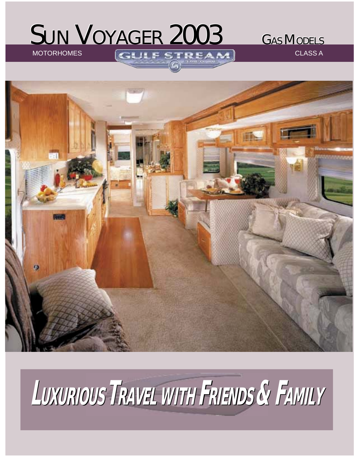## SUN VOYAGER 2003 GAS MODELS

MOTORHOMES GUIESTREAM CLASS A



# **LUXURIOUS UXURIOUS TRAVEL WITH FRIENDS & FAMILY**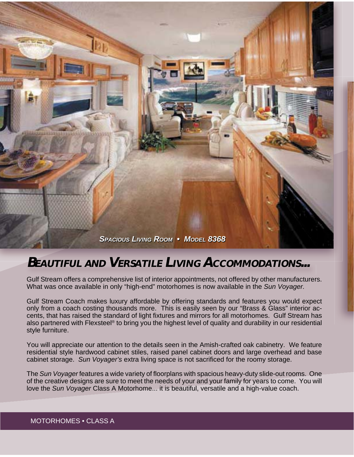

### **BEAUTIFUL AND VERSATILE LIVING ACCOMMODATIONS...**

Gulf Stream offers a comprehensive list of interior appointments, not offered by other manufacturers. What was once available in only "high-end" motorhomes is now available in the *Sun Voyager.*

Gulf Stream Coach makes luxury affordable by offering standards and features you would expect only from a coach costing thousands more. This is easily seen by our "Brass & Glass" interior accents, that has raised the standard of light fixtures and mirrors for all motorhomes. Gulf Stream has also partnered with Flexsteel<sup>®</sup> to bring you the highest level of quality and durability in our residential style furniture.

You will appreciate our attention to the details seen in the Amish-crafted oak cabinetry. We feature residential style hardwood cabinet stiles, raised panel cabinet doors and large overhead and base cabinet storage. Sun Voyager's extra living space is not sacrificed for the roomy storage.

The *Sun Voyager* features a wide variety of floorplans with spacious heavy-duty slide-out rooms. One of the creative designs are sure to meet the needs of your and your family for years to come. You will love the *Sun Voyager* Class A Motorhome... it is beautiful, versatile and a high-value coach.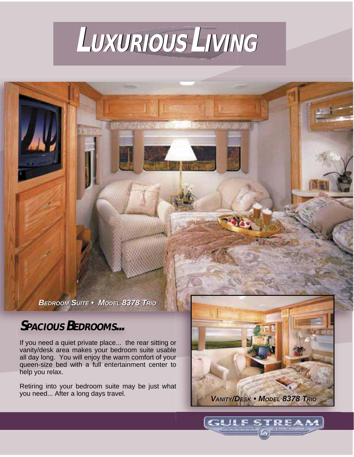

**COURSES** 

*BEDROOM SUITE • MODEL 8378 TRIO BEDROOM SUITE • MODEL 8378 TRIO*

## **SPACIOUS BEDROOMS...**

If you need a quiet private place... the rear sitting or vanity/desk area makes your bedroom suite usable all day long. You will enjoy the warm comfort of your queen-size bed with a full entertainment center to help you relax.

Retiring into your bedroom suite may be just what you need... After a long days travel.



**CLIL**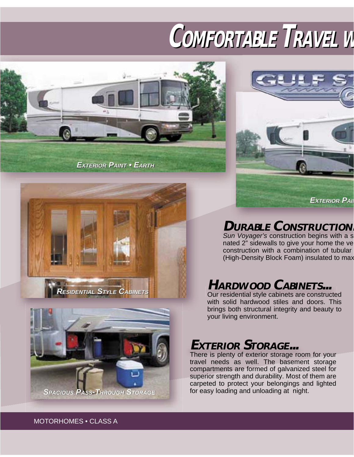## **COMFORTABLE OMFORTABLE TRAVEL RAVEL WW**



*EXTERIOR PAINT • EARTH* 







**DURABLE CONSTRUCTION.**

*Sun Voyager's* construction begins with a s nated 2" sidewalls to give your home the ve construction with a combination of tubular (High-Density Block Foam) insulated to max

## **HARDWOOD CABINETS...**

Our residential style cabinets are constructed with solid hardwood stiles and doors. This brings both structural integrity and beauty to your living environment.

## **EXTERIOR STORAGE...**

There is plenty of exterior storage room for your travel needs as well. The basement storage compartments are formed of galvanized steel for superior strength and durability. Most of them are carpeted to protect your belongings and lighted for easy loading and unloading at night.

MOTORHOMES • CLASS A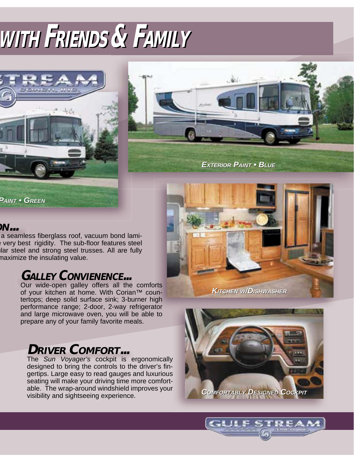## **WWITHITH FRIENDS RIENDS & FAMILY AMILY**





*EXTERIOR PAINT • BLUE* 

*PAINT • GREEN*

#### **ON...**

a seamless fiberglass roof, vacuum bond lamivery best rigidity. The sub-floor features steel ular steel and strong steel trusses. All are fully maximize the insulating value.

### **GALLEY CONVIENENCE...**

Our wide-open galley offers all the comforts of your kitchen at home. With Corian™ countertops; deep solid surface sink; 3-burner high performance range; 2-door, 2-way refrigerator and large microwave oven, you will be able to prepare any of your family favorite meals.

## **DRIVER COMFORT...**

The *Sun Voyager's* cockpit is ergonomically designed to bring the controls to the driver's fingertips. Large easy to read gauges and luxurious seating will make your driving time more comfortable. The wrap-around windshield improves your visibility and sightseeing experience.



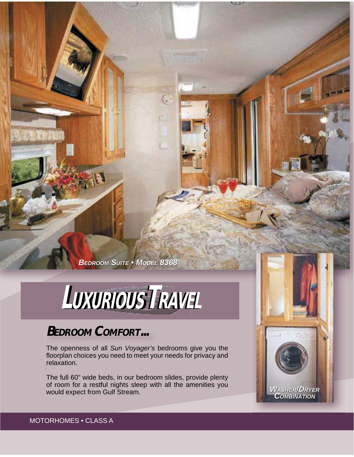*BEDROOM SUITE • MODEL 8368*

## $L$ *UXURIOUS<sup>TRAVEL</sup>*

## **BEDROOM COMFORT...**

The openness of all *Sun Voyager's* bedrooms give you the floorplan choices you need to meet your needs for privacy and relaxation.

The full 60" wide beds, in our bedroom slides, provide plenty of room for a restful nights sleep with all the amenities you would expect from Gulf Stream.

**SER**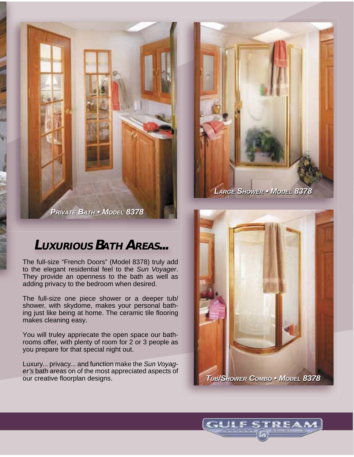*PRIVATE BATH • MODEL 8378*

## **LUXURIOUS BATH AREAS...**

The full-size "French Doors" (Model 8378) truly add to the elegant residential feel to the *Sun Voyager*. They provide an openness to the bath as well as adding privacy to the bedroom when desired.

The full-size one piece shower or a deeper tub/ shower, with skydome, makes your personal bathing just like being at home. The ceramic tile flooring makes cleaning easy.

You will truley appriecate the open space our bathrooms offer, with plenty of room for 2 or 3 people as you prepare for that special night out.

Luxury... privacy... and function make the *Sun Voyager's* bath areas on of the most appreciated aspects of our creative floorplan designs.